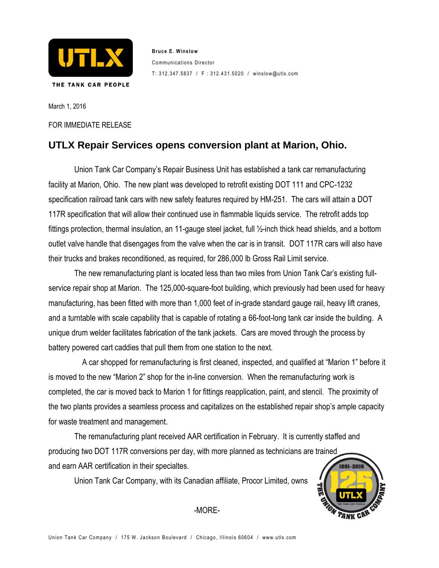

**Bruce E. Winslow** Communications Director T: 312.347.5837 / F: 312.431.5020 / winslow@utlx.com

March 1, 2016

FOR IMMEDIATE RELEASE

## **UTLX Repair Services opens conversion plant at Marion, Ohio.**

Union Tank Car Company's Repair Business Unit has established a tank car remanufacturing facility at Marion, Ohio. The new plant was developed to retrofit existing DOT 111 and CPC-1232 specification railroad tank cars with new safety features required by HM-251. The cars will attain a DOT 117R specification that will allow their continued use in flammable liquids service. The retrofit adds top fittings protection, thermal insulation, an 11-gauge steel jacket, full ½-inch thick head shields, and a bottom outlet valve handle that disengages from the valve when the car is in transit. DOT 117R cars will also have their trucks and brakes reconditioned, as required, for 286,000 lb Gross Rail Limit service.

The new remanufacturing plant is located less than two miles from Union Tank Car's existing fullservice repair shop at Marion. The 125,000-square-foot building, which previously had been used for heavy manufacturing, has been fitted with more than 1,000 feet of in-grade standard gauge rail, heavy lift cranes, and a turntable with scale capability that is capable of rotating a 66-foot-long tank car inside the building. A unique drum welder facilitates fabrication of the tank jackets. Cars are moved through the process by battery powered cart caddies that pull them from one station to the next.

 A car shopped for remanufacturing is first cleaned, inspected, and qualified at "Marion 1" before it is moved to the new "Marion 2" shop for the in-line conversion. When the remanufacturing work is completed, the car is moved back to Marion 1 for fittings reapplication, paint, and stencil. The proximity of the two plants provides a seamless process and capitalizes on the established repair shop's ample capacity for waste treatment and management.

The remanufacturing plant received AAR certification in February. It is currently staffed and producing two DOT 117R conversions per day, with more planned as technicians are trained and earn AAR certification in their specialtes.

Union Tank Car Company, with its Canadian affiliate, Procor Limited, owns



-MORE-